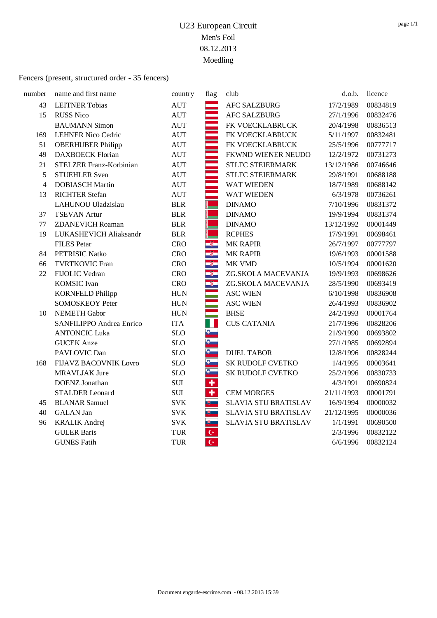#### Fencers (present, structured order - 35 fencers)

| number         | name and first name             | country    | flag                    | club                    | d.o.b.     | licence  |
|----------------|---------------------------------|------------|-------------------------|-------------------------|------------|----------|
| 43             | <b>LEITNER Tobias</b>           | <b>AUT</b> |                         | <b>AFC SALZBURG</b>     | 17/2/1989  | 00834819 |
| 15             | <b>RUSS Nico</b>                | <b>AUT</b> |                         | <b>AFC SALZBURG</b>     | 27/1/1996  | 00832476 |
|                | <b>BAUMANN Simon</b>            | <b>AUT</b> |                         | FK VOECKLABRUCK         | 20/4/1998  | 00836513 |
| 169            | <b>LEHNER Nico Cedric</b>       | <b>AUT</b> |                         | FK VOECKLABRUCK         | 5/11/1997  | 00832481 |
| 51             | <b>OBERHUBER Philipp</b>        | <b>AUT</b> |                         | FK VOECKLABRUCK         | 25/5/1996  | 00777717 |
| 49             | <b>DAXBOECK Florian</b>         | <b>AUT</b> |                         | FKWND WIENER NEUDO      | 12/2/1972  | 00731273 |
| 21             | STELZER Franz-Korbinian         | <b>AUT</b> |                         | <b>STLFC STEIERMARK</b> | 13/12/1986 | 00746646 |
| 5              | <b>STUEHLER Sven</b>            | <b>AUT</b> |                         | <b>STLFC STEIERMARK</b> | 29/8/1991  | 00688188 |
| $\overline{4}$ | <b>DOBIASCH Martin</b>          | <b>AUT</b> |                         | <b>WAT WIEDEN</b>       | 18/7/1989  | 00688142 |
| 13             | <b>RICHTER Stefan</b>           | <b>AUT</b> |                         | <b>WAT WIEDEN</b>       | 6/3/1978   | 00736261 |
|                | LAHUNOU Uladzislau              | <b>BLR</b> |                         | <b>DINAMO</b>           | 7/10/1996  | 00831372 |
| 37             | <b>TSEVAN Artur</b>             | <b>BLR</b> |                         | <b>DINAMO</b>           | 19/9/1994  | 00831374 |
| 77             | <b>ZDANEVICH Roaman</b>         | <b>BLR</b> |                         | <b>DINAMO</b>           | 13/12/1992 | 00001449 |
| 19             | LUKASHEVICH Aliaksandr          | <b>BLR</b> |                         | <b>RCPHES</b>           | 17/9/1991  | 00698461 |
|                | <b>FILES</b> Petar              | <b>CRO</b> | Q.                      | <b>MK RAPIR</b>         | 26/7/1997  | 00777797 |
| 84             | PETRISIC Natko                  | <b>CRO</b> | Ş.                      | <b>MK RAPIR</b>         | 19/6/1993  | 00001588 |
| 66             | <b>TVRTKOVIC Fran</b>           | <b>CRO</b> | $\overline{\mathbf{3}}$ | MK VMD                  | 10/5/1994  | 00001620 |
| 22             | FIJOLIC Vedran                  | <b>CRO</b> | $\frac{1}{2}$           | ZG.SKOLA MACEVANJA      | 19/9/1993  | 00698626 |
|                | <b>KOMSIC</b> Ivan              | <b>CRO</b> | Q.                      | ZG.SKOLA MACEVANJA      | 28/5/1990  | 00693419 |
|                | <b>KORNFELD Philipp</b>         | <b>HUN</b> |                         | <b>ASC WIEN</b>         | 6/10/1998  | 00836908 |
|                | <b>SOMOSKEOY Peter</b>          | <b>HUN</b> |                         | <b>ASC WIEN</b>         | 26/4/1993  | 00836902 |
| 10             | <b>NEMETH Gabor</b>             | <b>HUN</b> |                         | <b>BHSE</b>             | 24/2/1993  | 00001764 |
|                | <b>SANFILIPPO Andrea Enrico</b> | <b>ITA</b> | T                       | <b>CUS CATANIA</b>      | 21/7/1996  | 00828206 |
|                | <b>ANTONCIC Luka</b>            | <b>SLO</b> | $\bullet$               |                         | 21/9/1990  | 00693802 |
|                | <b>GUCEK</b> Anze               | <b>SLO</b> | Đ.                      |                         | 27/1/1985  | 00692894 |
|                | PAVLOVIC Dan                    | <b>SLO</b> | $\delta$                | <b>DUEL TABOR</b>       | 12/8/1996  | 00828244 |
| 168            | <b>FIJAVZ BACOVNIK Lovro</b>    | <b>SLO</b> | $\delta$                | <b>SK RUDOLF CVETKO</b> | 1/4/1995   | 00003641 |
|                | <b>MRAVLJAK Jure</b>            | <b>SLO</b> | s.                      | SK RUDOLF CVETKO        | 25/2/1996  | 00830733 |
|                | <b>DOENZ</b> Jonathan           | $\rm SUI$  | $\ddot{\textbf{r}}$     |                         | 4/3/1991   | 00690824 |
|                | <b>STALDER</b> Leonard          | <b>SUI</b> | $\ddot{\phantom{1}}$    | <b>CEM MORGES</b>       | 21/11/1993 | 00001791 |
| 45             | <b>BLANAR Samuel</b>            | <b>SVK</b> | 博士                      | SLAVIA STU BRATISLAV    | 16/9/1994  | 00000032 |
| 40             | <b>GALAN</b> Jan                | <b>SVK</b> | $\mathbb{B}$            | SLAVIA STU BRATISLAV    | 21/12/1995 | 00000036 |
| 96             | <b>KRALIK Andrej</b>            | <b>SVK</b> | サー                      | SLAVIA STU BRATISLAV    | 1/1/1991   | 00690500 |
|                | <b>GULER Baris</b>              | <b>TUR</b> | $\mathsf{C}^\star$      |                         | 2/3/1996   | 00832122 |
|                | <b>GUNES Fatih</b>              | <b>TUR</b> | $\overline{C^*}$        |                         | 6/6/1996   | 00832124 |
|                |                                 |            |                         |                         |            |          |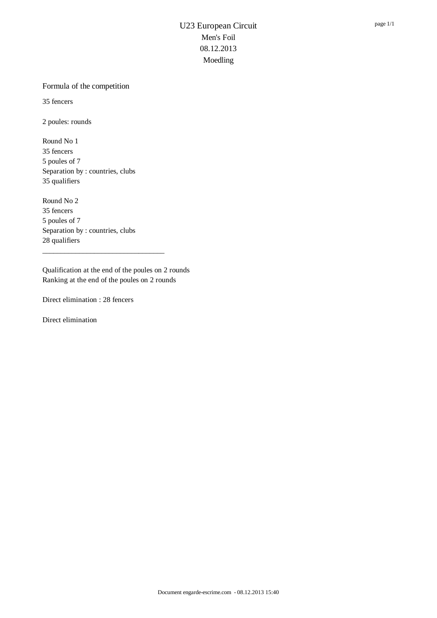#### Formula of the competition

35 fencers

2 poules: rounds

Round No 1 35 fencers 5 poules of 7 Separation by : countries, clubs 35 qualifiers

Round No 2 35 fencers 5 poules of 7 Separation by : countries, clubs 28 qualifiers

Qualification at the end of the poules on 2 rounds Ranking at the end of the poules on 2 rounds

\_\_\_\_\_\_\_\_\_\_\_\_\_\_\_\_\_\_\_\_\_\_\_\_\_\_\_\_\_\_\_\_\_

Direct elimination : 28 fencers

Direct elimination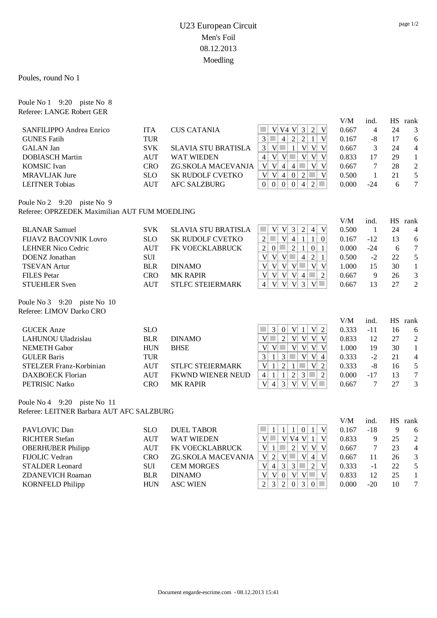Poules, round No 1

Poule No 1 9:20 piste No 8 Referee: LANGE Robert GER

|                                               |            |                            |                                                                                                                                             | V/M   | ind.           | <b>HS</b> | rank                     |
|-----------------------------------------------|------------|----------------------------|---------------------------------------------------------------------------------------------------------------------------------------------|-------|----------------|-----------|--------------------------|
| SANFILIPPO Andrea Enrico                      | <b>ITA</b> | <b>CUS CATANIA</b>         | $3\vert$<br>$\sqrt{2}$<br>$\overline{V}$<br>V V4 V                                                                                          | 0.667 | $\overline{4}$ | 24        | 3                        |
| <b>GUNES Fatih</b>                            | TUR        |                            | $\overline{V}$<br>2<br>$\overline{2}$<br>$\mathfrak{Z}$<br>T.<br>$\overline{4}$<br>$\mathbf{1}$                                             | 0.167 | $-8$           | 17        | 6                        |
| <b>GALAN</b> Jan                              | <b>SVK</b> | <b>SLAVIA STU BRATISLA</b> | 3<br>$\mathbf{V}$<br>$\mathcal{L}_{\mathcal{A}}$<br>$\mathbf{1}$<br>V <sub>l</sub><br>V V                                                   | 0.667 | 3              | 24        | $\overline{\mathcal{L}}$ |
| <b>DOBIASCH Martin</b>                        | <b>AUT</b> | <b>WAT WIEDEN</b>          | V <br>V <sub>l</sub><br>V<br>$\overline{4}$<br>V<br>$\sim$<br>V <sub>l</sub>                                                                | 0.833 | 17             | 29        | $\mathbf{1}$             |
| <b>KOMSIC</b> Ivan                            | <b>CRO</b> | ZG.SKOLA MACEVANJA         | V <br>$\overline{V}$<br>V <sub>l</sub><br>V<br>$\overline{4}$<br>$\overline{4}$                                                             | 0.667 | $\overline{7}$ | 28        | $\sqrt{2}$               |
| <b>MRAVLJAK Jure</b>                          | <b>SLO</b> | <b>SK RUDOLF CVETKO</b>    | $\mathbf{V}$<br>V<br>$\overline{4}$<br> V <br> 0 <br>$\overline{2}$<br>$\mathcal{L}^{\mathcal{L}}$                                          | 0.500 | $\mathbf{1}$   | 21        | 5                        |
| <b>LEITNER Tobias</b>                         | <b>AUT</b> | <b>AFC SALZBURG</b>        | $\boldsymbol{0}$<br>$\mathbf{0}$<br>$\overline{2}$<br>$\boldsymbol{0}$<br>$\boldsymbol{0}$<br>$\overline{4}$<br>$\mathcal{L}^{\mathcal{L}}$ | 0.000 | $-24$          | 6         | $\tau$                   |
| Poule No 2 9:20 piste No 9                    |            |                            |                                                                                                                                             |       |                |           |                          |
| Referee: OPRZEDEK Maximilian AUT FUM MOEDLING |            |                            |                                                                                                                                             |       |                |           |                          |
|                                               |            |                            |                                                                                                                                             | V/M   | ind.           | <b>HS</b> | rank                     |
| <b>BLANAR Samuel</b>                          | <b>SVK</b> | <b>SLAVIA STU BRATISLA</b> | V<br><b>T</b><br>V<br> V <br>$\mathfrak{Z}$<br>$\sqrt{2}$<br>$\overline{4}$                                                                 | 0.500 | $\mathbf{1}$   | 24        | $\overline{4}$           |
| <b>FIJAVZ BACOVNIK Lovro</b>                  | <b>SLO</b> | <b>SK RUDOLF CVETKO</b>    | $\mathcal{C}^{\mathcal{A}}$<br> V <br>$\overline{2}$<br>$\vert 4 \vert$<br>$\mathbf{1}$<br>$\mathbf{1}$<br>$\mathbf{0}$                     | 0.167 | $-12$          | 13        | 6                        |
| <b>LEHNER Nico Cedric</b>                     | <b>AUT</b> | FK VOECKLABRUCK            | $\overline{c}$<br>$\mathcal{L}_{\mathcal{A}}$<br>$\overline{2}$<br>$\boldsymbol{0}$<br>$\mathbf{1}$<br>$\vert 0 \vert$<br>$\mathbf{1}$      | 0.000 | $-24$          | 6         | $\tau$                   |
| <b>DOENZ</b> Jonathan                         | <b>SUI</b> |                            | $\overline{V}$<br> V <br>$\overline{4}$<br>$\sqrt{2}$<br>V<br>$\sim$<br>1                                                                   | 0.500 | $-2$           | 22        | 5                        |
| <b>TSEVAN Artur</b>                           | <b>BLR</b> | <b>DINAMO</b>              | $\overline{V}$<br>V V<br>V<br> V <br> V <br>a s                                                                                             | 1.000 | 15             | 30        | $\mathbf{1}$             |
| <b>FILES</b> Petar                            | <b>CRO</b> | <b>MK RAPIR</b>            | $\overline{\mathsf{V}}$<br>V <sub>l</sub><br> V <br><b>College</b><br>$\overline{2}$<br>V<br>$\overline{4}$                                 | 0.667 | 9              | 26        | $\mathfrak{Z}$           |
| <b>STUEHLER Sven</b>                          | <b>AUT</b> | <b>STLFC STEIERMARK</b>    | V <br> V <br>$\overline{3}$<br>$V$ $\Box$<br>$\overline{4}$<br> V                                                                           | 0.667 | 13             | 27        | $\overline{2}$           |
| Poule No 3 9:20 piste No 10                   |            |                            |                                                                                                                                             |       |                |           |                          |
| Referee: LIMOV Darko CRO                      |            |                            |                                                                                                                                             |       |                |           |                          |
|                                               |            |                            |                                                                                                                                             | V/M   | ind.           |           | HS rank                  |
| <b>GUCEK</b> Anze                             | <b>SLO</b> |                            | $\overline{3}$<br>V <sub>l</sub><br>$V\vert 2$<br>$\boldsymbol{0}$<br>$\mathbf{1}$<br>$\mathcal{L}_{\mathcal{A}}$                           | 0.333 | $-11$          | 16        | 6                        |
| LAHUNOU Uladzislau                            | <b>BLR</b> | <b>DINAMO</b>              | $\overline{2}$<br> V <br>V V<br>$\mathbf{V}$<br>V <sub>l</sub><br>$\mathcal{L}_{\mathcal{A}}$<br>$\mathbf{v}$                               | 0.833 | 12             | 27        | $\overline{2}$           |
| <b>NEMETH Gabor</b>                           | <b>HUN</b> | <b>BHSE</b>                | $\overline{V}$<br>$\mathbf{V}$<br>V <sub>l</sub><br>V V                                                                                     | 1.000 | 19             | 30        | $\mathbf{1}$             |
| <b>GULER Baris</b>                            | <b>TUR</b> |                            | $\mathfrak{Z}$<br>$\mathfrak{Z}$<br>$\mathcal{L}_{\mathcal{A}}$<br>V <sub>l</sub><br> V <br>$\mathbf{1}$<br>$\overline{4}$                  | 0.333 | $-2$           | 21        | $\overline{4}$           |
| STELZER Franz-Korbinian                       | <b>AUT</b> | <b>STLFC STEIERMARK</b>    | $\overline{2}$<br>$\mathbf{V}$<br>$\mathbf{1}$<br>V <sub>l</sub><br>$\mathbf{1}$<br>2                                                       | 0.333 | $-8$           | 16        | 5                        |
| <b>DAXBOECK Florian</b>                       | <b>AUT</b> | FKWND WIENER NEUD          | $\sqrt{2}$<br>$\mathbf{1}$<br>3<br><b>College</b><br>$\overline{2}$<br>$\mathbf{1}$<br>4                                                    | 0.000 | $-17$          | 13        | $\overline{7}$           |
| PETRISIC Natko                                | <b>CRO</b> | <b>MK RAPIR</b>            | $\overline{3}$<br>$\overline{\mathsf{V}}$<br> V <br> V <br>$V$ $\Box$<br>$\overline{4}$                                                     | 0.667 | $\overline{7}$ | 27        | 3                        |
| Poule No 4 9:20 piste No 11                   |            |                            |                                                                                                                                             |       |                |           |                          |
| Referee: LEITNER Barbara AUT AFC SALZBURG     |            |                            |                                                                                                                                             |       |                |           |                          |
|                                               |            |                            |                                                                                                                                             | V/M   | ind.           | HS        | rank                     |
| PAVLOVIC Dan                                  | <b>SLO</b> | <b>DUEL TABOR</b>          | 0 1<br> V <br>$\mathbf{1}$<br>$\mathbf{1}$<br>$\mathbf{1}$                                                                                  | 0.167 | $-18$          | 9         | 6                        |
| <b>RICHTER Stefan</b>                         | <b>AUT</b> | <b>WAT WIEDEN</b>          | V <br>V V4 V  1<br>$\mathbf{V}$<br>$\mathcal{C}^{\mathcal{A}}$                                                                              | 0.833 | 9              | 25        | $\overline{2}$           |
| <b>OBERHUBER Philipp</b>                      | <b>AUT</b> | FK VOECKLABRUCK            | m.<br>$\overline{2}$<br>$\overline{V}$<br>V V<br>$\mathbf{1}$<br>V <sub>1</sub>                                                             | 0.667 | 7              | 23        | $\overline{\mathcal{L}}$ |
| FIJOLIC Vedran                                | <b>CRO</b> | ZG.SKOLA MACEVANJA         | $\overline{V}$<br>V<br>$\overline{2}$<br>$\mathcal{L}^{\mathcal{L}}$<br> V <br>$\overline{4}$<br>$\mathbf V$                                | 0.667 | 11             | 26        | $\mathfrak{Z}$           |
| <b>STALDER</b> Leonard                        | SUI        | <b>CEM MORGES</b>          | $\mathfrak{Z}$<br>$\overline{3}$<br>$\sqrt{2}$<br>V<br>V<br>$\overline{4}$                                                                  | 0.333 | $-1$           | 22        | 5                        |
| <b>ZDANEVICH Roaman</b>                       | <b>BLR</b> | <b>DINAMO</b>              | $\overline{V}$<br>$\overline{\mathsf{V}}$<br>$\boldsymbol{0}$<br> V <br>$\mathbf V$<br>$V$ $\Box$                                           | 0.833 | 12             | 25        | $\mathbf{1}$             |
| <b>KORNFELD Philipp</b>                       | <b>HUN</b> | <b>ASC WIEN</b>            | 3<br>$\overline{2}$<br>$\overline{3}$<br>$\overline{2}$<br>$\mathbf{0}$<br>$\mathcal{L}^{\mathcal{L}}$<br>$\mathbf{0}$                      | 0.000 | $-20$          | 10        | $\tau$                   |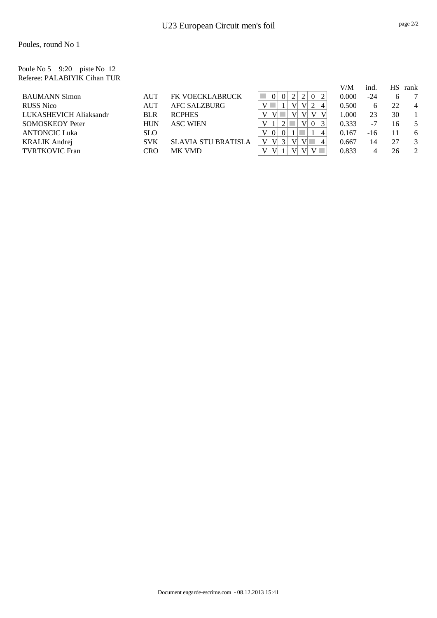Poule No 5 9:20 piste No 12 Referee: PALABIYIK Cihan TUR

|                        |            |                            |                                      | V/M   | ind.         | HS. | rank |
|------------------------|------------|----------------------------|--------------------------------------|-------|--------------|-----|------|
| <b>BAUMANN Simon</b>   | <b>AUT</b> | FK VOECKLABRUCK            | 2<br>0 <sup>1</sup>                  | 0.000 | -24          | h   |      |
| <b>RUSS</b> Nico       | AUT        | <b>AFC SALZBURG</b>        | $\mathbf{V}$<br>V<br>4               | 0.500 | <sub>(</sub> | 22  | 4    |
| LUKASHEVICH Aliaksandr | <b>BLR</b> | <b>RCPHES</b>              | $\mathbf{V}$<br>V<br>V               | 1.000 | 23           | 30  |      |
| <b>SOMOSKEOY Peter</b> | <b>HUN</b> | <b>ASC WIEN</b>            | V<br>V<br>0 <sup>1</sup>             | 0.333 | -7           | 16  |      |
| <b>ANTONCIC Luka</b>   | <b>SLO</b> |                            | 4                                    | 0.167 | $-16$        | 11  | 6    |
| <b>KRALIK Andrej</b>   | <b>SVK</b> | <b>SLAVIA STU BRATISLA</b> | $\mathbf{V}$<br>V<br>V               | 0.667 | 14           | 27  | 3    |
| <b>TVRTKOVIC Fran</b>  | CRO        | MK VMD                     | V <sup>2</sup><br>$V \parallel$<br>V | 0.833 |              | 26  |      |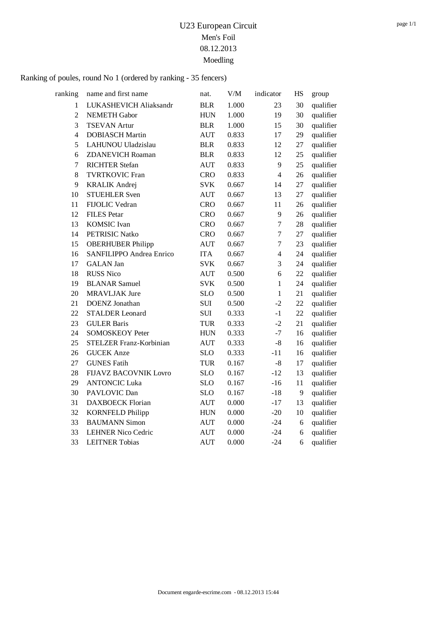| ranking        | name and first name          | nat.       | $V\!/\!M$ | indicator      | HS | group     |
|----------------|------------------------------|------------|-----------|----------------|----|-----------|
| 1              | LUKASHEVICH Aliaksandr       | <b>BLR</b> | 1.000     | 23             | 30 | qualifier |
| $\overline{2}$ | <b>NEMETH Gabor</b>          | <b>HUN</b> | 1.000     | 19             | 30 | qualifier |
| 3              | <b>TSEVAN Artur</b>          | <b>BLR</b> | 1.000     | 15             | 30 | qualifier |
| $\overline{4}$ | <b>DOBIASCH Martin</b>       | <b>AUT</b> | 0.833     | 17             | 29 | qualifier |
| 5              | LAHUNOU Uladzislau           | <b>BLR</b> | 0.833     | 12             | 27 | qualifier |
| 6              | <b>ZDANEVICH Roaman</b>      | <b>BLR</b> | 0.833     | 12             | 25 | qualifier |
| $\overline{7}$ | <b>RICHTER Stefan</b>        | <b>AUT</b> | 0.833     | 9              | 25 | qualifier |
| 8              | <b>TVRTKOVIC Fran</b>        | <b>CRO</b> | 0.833     | $\overline{4}$ | 26 | qualifier |
| 9              | <b>KRALIK Andrej</b>         | <b>SVK</b> | 0.667     | 14             | 27 | qualifier |
| 10             | <b>STUEHLER Sven</b>         | <b>AUT</b> | 0.667     | 13             | 27 | qualifier |
| 11             | FIJOLIC Vedran               | <b>CRO</b> | 0.667     | 11             | 26 | qualifier |
| 12             | <b>FILES</b> Petar           | <b>CRO</b> | 0.667     | 9              | 26 | qualifier |
| 13             | <b>KOMSIC</b> Ivan           | <b>CRO</b> | 0.667     | $\tau$         | 28 | qualifier |
| 14             | <b>PETRISIC Natko</b>        | <b>CRO</b> | 0.667     | $\tau$         | 27 | qualifier |
| 15             | <b>OBERHUBER Philipp</b>     | <b>AUT</b> | 0.667     | $\overline{7}$ | 23 | qualifier |
| 16             | SANFILIPPO Andrea Enrico     | <b>ITA</b> | 0.667     | $\overline{4}$ | 24 | qualifier |
| 17             | <b>GALAN Jan</b>             | <b>SVK</b> | 0.667     | 3              | 24 | qualifier |
| 18             | <b>RUSS Nico</b>             | <b>AUT</b> | 0.500     | 6              | 22 | qualifier |
| 19             | <b>BLANAR Samuel</b>         | <b>SVK</b> | 0.500     | $\mathbf{1}$   | 24 | qualifier |
| 20             | <b>MRAVLJAK Jure</b>         | <b>SLO</b> | 0.500     | $\mathbf{1}$   | 21 | qualifier |
| 21             | <b>DOENZ</b> Jonathan        | <b>SUI</b> | 0.500     | $-2$           | 22 | qualifier |
| 22             | <b>STALDER Leonard</b>       | SUI        | 0.333     | $-1$           | 22 | qualifier |
| 23             | <b>GULER Baris</b>           | <b>TUR</b> | 0.333     | $-2$           | 21 | qualifier |
| 24             | <b>SOMOSKEOY Peter</b>       | <b>HUN</b> | 0.333     | $-7$           | 16 | qualifier |
| 25             | STELZER Franz-Korbinian      | <b>AUT</b> | 0.333     | $-8$           | 16 | qualifier |
| 26             | <b>GUCEK</b> Anze            | <b>SLO</b> | 0.333     | $-11$          | 16 | qualifier |
| 27             | <b>GUNES Fatih</b>           | <b>TUR</b> | 0.167     | $-8$           | 17 | qualifier |
| 28             | <b>FIJAVZ BACOVNIK Lovro</b> | <b>SLO</b> | 0.167     | $-12$          | 13 | qualifier |
| 29             | <b>ANTONCIC Luka</b>         | <b>SLO</b> | 0.167     | $-16$          | 11 | qualifier |
| 30             | PAVLOVIC Dan                 | <b>SLO</b> | 0.167     | $-18$          | 9  | qualifier |
| 31             | <b>DAXBOECK Florian</b>      | <b>AUT</b> | 0.000     | $-17$          | 13 | qualifier |
| 32             | <b>KORNFELD Philipp</b>      | <b>HUN</b> | 0.000     | $-20$          | 10 | qualifier |
| 33             | <b>BAUMANN Simon</b>         | <b>AUT</b> | 0.000     | $-24$          | 6  | qualifier |
| 33             | <b>LEHNER Nico Cedric</b>    | <b>AUT</b> | 0.000     | $-24$          | 6  | qualifier |
| 33             | <b>LEITNER Tobias</b>        | <b>AUT</b> | 0.000     | $-24$          | 6  | qualifier |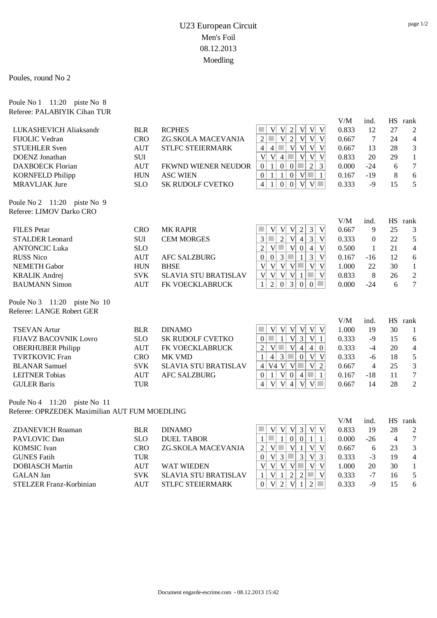Poules, round No 2

Poule No 1 11:20 piste No 8

| Referee: PALABIYIK Cihan TUR |            |                             |                                                                                                              |       |                |    |                |
|------------------------------|------------|-----------------------------|--------------------------------------------------------------------------------------------------------------|-------|----------------|----|----------------|
|                              |            |                             |                                                                                                              | V/M   | ind.           |    | HS rank        |
| LUKASHEVICH Aliaksandr       | <b>BLR</b> | <b>RCPHES</b>               | V<br>$\sqrt{2}$<br>V<br>V<br>V<br>V                                                                          | 0.833 | 12             | 27 | 2              |
| FIJOLIC Vedran               | <b>CRO</b> | ZG.SKOLA MACEVANJA          | V<br>$\overline{2}$<br>V<br>V<br>V<br>$\overline{2}$                                                         | 0.667 | 7              | 24 | $\overline{4}$ |
| <b>STUEHLER Sven</b>         | <b>AUT</b> | <b>STLFC STEIERMARK</b>     | 4<br>$\mathbf{V}$<br>V<br>V<br>$\overline{4}$<br>V                                                           | 0.667 | 13             | 28 | 3              |
| DOENZ Jonathan               | SUI        |                             | $\overline{4}$<br>V<br>V<br>V<br>V<br>V                                                                      | 0.833 | 20             | 29 | 1              |
| <b>DAXBOECK Florian</b>      | <b>AUT</b> | FKWND WIENER NEUDOR         | $\overline{c}$<br>$\overline{3}$<br>$\boldsymbol{0}$<br> 0 <br>$\mathbf{1}$<br>$\overline{0}$                | 0.000 | $-24$          | 6  | $\tau$         |
| <b>KORNFELD Philipp</b>      | <b>HUN</b> | <b>ASC WIEN</b>             | V <br>$\mathcal{L}_{\mathcal{A}}$<br>$\boldsymbol{0}$<br>$\mathbf{1}$<br>$\mathbf{1}$<br> 0 <br>$\mathbf{1}$ | 0.167 | $-19$          | 8  | 6              |
| <b>MRAVLJAK Jure</b>         | <b>SLO</b> | <b>SK RUDOLF CVETKO</b>     | $\overline{4}$<br> 0 <br>$\mathbf{0}$<br>$V$ $\Box$<br>V<br>$\mathbf{1}$                                     | 0.333 | $-9$           | 15 | 5              |
| Poule No 2 11:20 piste No 9  |            |                             |                                                                                                              |       |                |    |                |
| Referee: LIMOV Darko CRO     |            |                             |                                                                                                              |       |                |    |                |
|                              |            |                             |                                                                                                              | V/M   | ind.           |    | HS rank        |
| <b>FILES</b> Petar           | <b>CRO</b> | <b>MK RAPIR</b>             | $\overline{3}$<br> V <br>$\overline{2}$<br>$\mathbf{V}$<br> V <br>V                                          | 0.667 | 9              | 25 | 3              |
| <b>STALDER Leonard</b>       | <b>SUI</b> | <b>CEM MORGES</b>           | $\mathcal{L}_{\mathcal{A}}$<br>$\sqrt{2}$<br>3<br>3<br>V<br>$\overline{4}$<br>V                              | 0.333 | $\Omega$       | 22 | 5              |
| <b>ANTONCIC Luka</b>         | <b>SLO</b> |                             | $\overline{2}$<br>$\overline{V}$<br>$\overline{V}$<br>$\overline{4}$<br>V<br>$\mathbf{0}$                    | 0.500 | 1              | 21 | $\overline{4}$ |
| <b>RUSS Nico</b>             | <b>AUT</b> | <b>AFC SALZBURG</b>         | 3<br>$\overline{3}$<br>V<br>$\overline{0}$<br>$\mathbf{0}$<br>$\mathbf{1}$                                   | 0.167 | $-16$          | 12 | 6              |
| <b>NEMETH Gabor</b>          | <b>HUN</b> | <b>BHSE</b>                 | V<br>V <sub>1</sub><br>$V$ $\Box$<br>V<br>V<br>V                                                             | 1.000 | 22             | 30 | $\mathbf{1}$   |
| <b>KRALIK Andrej</b>         | <b>SVK</b> | <b>SLAVIA STU BRATISLAV</b> | V<br>V<br>V<br>V<br>V<br>-1                                                                                  | 0.833 | 8              | 26 | 2              |
| <b>BAUMANN Simon</b>         | <b>AUT</b> | FK VOECKLABRUCK             | $\mathbf{1}$<br>$\mathfrak{2}$<br>3<br>$\sim$<br> 0 <br>$\mathbf{0}$<br>$\overline{0}$                       | 0.000 | $-24$          | 6  | $\tau$         |
| Poule No 3 11:20 piste No 10 |            |                             |                                                                                                              |       |                |    |                |
| Referee: LANGE Robert GER    |            |                             |                                                                                                              |       |                |    |                |
|                              |            |                             |                                                                                                              | V/M   | ind.           |    | HS rank        |
| <b>TSEVAN Artur</b>          | <b>BLR</b> | <b>DINAMO</b>               | V<br>V<br> V <br>V<br>V<br>V<br><b>College</b>                                                               | 1.000 | 19             | 30 | 1              |
| <b>FIJAVZ BACOVNIK Lovro</b> | <b>SLO</b> | <b>SK RUDOLF CVETKO</b>     | $\mathcal{L}_{\mathcal{A}}$<br>V<br>$\mathbf{1}$<br>$\overline{3}$<br>V<br>$\boldsymbol{0}$<br>$\mathbf{1}$  | 0.333 | $-9$           | 15 | 6              |
| <b>OBERHUBER Philipp</b>     | <b>AUT</b> | FK VOECKLABRUCK             | V<br>a s<br>V<br>$\overline{4}$<br>$\overline{4}$<br>$\mathbf{0}$<br>$\overline{c}$                          | 0.333 | $-4$           | 20 | $\overline{4}$ |
| <b>TVRTKOVIC Fran</b>        | <b>CRO</b> | <b>MK VMD</b>               | $\mathbf{1}$<br>$\overline{4}$<br>3<br>$\boldsymbol{0}$<br>V<br>V                                            | 0.333 | $-6$           | 18 | 5              |
| <b>BLANAR Samuel</b>         | <b>SVK</b> | <b>SLAVIA STU BRATISLAV</b> | V <br>$\mathbf{V}$<br>V4 V<br>п<br>$\sqrt{2}$<br>$\overline{4}$                                              | 0.667 | $\overline{4}$ | 25 | 3              |
| <b>LEITNER Tobias</b>        | <b>AUT</b> | <b>AFC SALZBURG</b>         | $\mathcal{C}^{\mathcal{A}}$<br>$\overline{0}$<br>V 0 <br>$\overline{4}$<br>$\mathbf{1}$<br>$\mathbf{1}$      | 0.167 | $-18$          | 11 | $\tau$         |
| <b>GULER Baris</b>           | <b>TUR</b> |                             | V<br>V<br>$\overline{4}$<br>V<br>V<br>$\overline{4}$                                                         | 0.667 | 14             | 28 | $\overline{2}$ |
|                              |            |                             |                                                                                                              |       |                |    |                |

Poule No 4 11:20 piste No 11 Referee: OPRZEDEK Maximilian AUT FUM MOEDLING

|                         |            |                             |                            | V/M   | ind.         | HS | rank           |
|-------------------------|------------|-----------------------------|----------------------------|-------|--------------|----|----------------|
| <b>ZDANEVICH Roaman</b> | <b>BLR</b> | <b>DINAMO</b>               | v                          | 0.833 | 19           | 28 | 2              |
| PAVLOVIC Dan            | <b>SLO</b> | DUEL TABOR                  |                            | 0.000 | $-26$        |    |                |
| <b>KOMSIC</b> Ivan      | <b>CRO</b> | ZG.SKOLA MACEVANJA          | v<br>2                     | 0.667 | <sub>6</sub> | 23 | 3              |
| <b>GUNES</b> Fatih      | TUR        |                             | V <sub>1</sub><br>$\theta$ | 0.333 | $-3$         | 19 | $\overline{4}$ |
| <b>DOBIASCH Martin</b>  | <b>AUT</b> | <b>WAT WIEDEN</b>           | V<br>V<br>V                | 000.  | 20           | 30 |                |
| <b>GALAN</b> Jan        | <b>SVK</b> | <b>SLAVIA STU BRATISLAV</b> |                            | 0.333 | $-7$         | 16 |                |
| STELZER Franz-Korbinian | AUT        | STLFC STEIERMARK            | $\boldsymbol{0}$           | 0.333 | -9           |    | 6              |
|                         |            |                             |                            |       |              |    |                |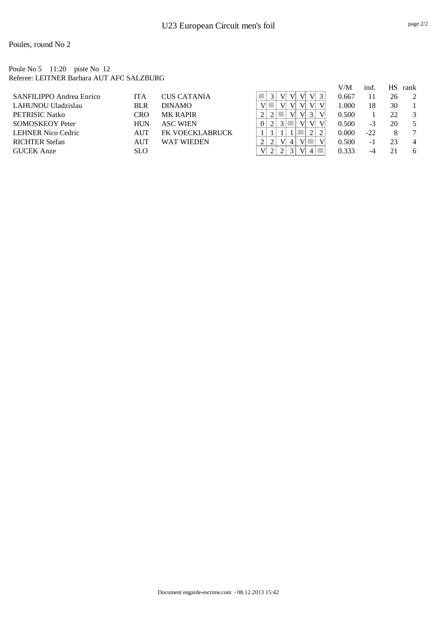Poules, round No 2

Poule No 5 11:20 piste No 12 Referee: LEITNER Barbara AUT AFC SALZBURG

|                           |            |                        |          |  |    |                | V/M   | ind.  | НS | rank |
|---------------------------|------------|------------------------|----------|--|----|----------------|-------|-------|----|------|
| SANFILIPPO Andrea Enrico  | <b>ITA</b> | <b>CUS CATANIA</b>     |          |  | V. | V              | 0.667 | 11    | 26 | 2    |
| LAHUNOU Uladzislau        | <b>BLR</b> | <b>DINAMO</b>          |          |  | V  | V              | 1.000 | 18    | 30 |      |
| PETRISIC Natko            | CRO        | <b>MK RAPIR</b>        |          |  | V  |                | 0.500 |       | 22 | 3    |
| <b>SOMOSKEOY Peter</b>    | <b>HUN</b> | <b>ASC WIEN</b>        | $\theta$ |  | V  | V <sup>2</sup> | 0.500 | $-3$  | 20 | .5   |
| <b>LEHNER Nico Cedric</b> | <b>AUT</b> | <b>FK VOECKLABRUCK</b> |          |  |    |                | 0.000 | $-22$ | 8  |      |
| <b>RICHTER Stefan</b>     | <b>AUT</b> | <b>WAT WIEDEN</b>      |          |  |    |                | 0.500 | - 1   | 23 | 4    |
| <b>GUCEK</b> Anze         | <b>SLO</b> |                        |          |  | V  |                | 0.333 | -4    | 21 | 6    |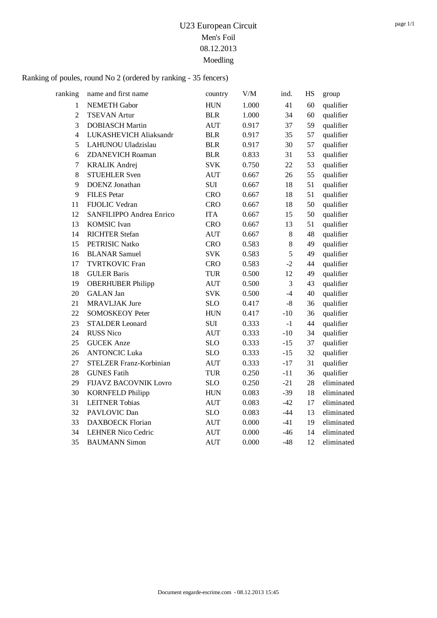| ranking          | name and first name          | country    | $V\!/\!M$ | ind.  | <b>HS</b> | group      |
|------------------|------------------------------|------------|-----------|-------|-----------|------------|
| $\mathbf{1}$     | <b>NEMETH Gabor</b>          | <b>HUN</b> | 1.000     | 41    | 60        | qualifier  |
| $\overline{2}$   | <b>TSEVAN Artur</b>          | <b>BLR</b> | 1.000     | 34    | 60        | qualifier  |
| $\overline{3}$   | <b>DOBIASCH Martin</b>       | <b>AUT</b> | 0.917     | 37    | 59        | qualifier  |
| $\overline{4}$   | LUKASHEVICH Aliaksandr       | <b>BLR</b> | 0.917     | 35    | 57        | qualifier  |
| 5                | LAHUNOU Uladzislau           | <b>BLR</b> | 0.917     | 30    | 57        | qualifier  |
| 6                | <b>ZDANEVICH Roaman</b>      | <b>BLR</b> | 0.833     | 31    | 53        | qualifier  |
| $\boldsymbol{7}$ | <b>KRALIK Andrej</b>         | <b>SVK</b> | 0.750     | 22    | 53        | qualifier  |
| $8\,$            | <b>STUEHLER Sven</b>         | <b>AUT</b> | 0.667     | 26    | 55        | qualifier  |
| 9                | <b>DOENZ</b> Jonathan        | $\rm SUI$  | 0.667     | 18    | 51        | qualifier  |
| 9                | <b>FILES</b> Petar           | <b>CRO</b> | 0.667     | 18    | 51        | qualifier  |
| 11               | FIJOLIC Vedran               | <b>CRO</b> | 0.667     | 18    | 50        | qualifier  |
| 12               | SANFILIPPO Andrea Enrico     | <b>ITA</b> | 0.667     | 15    | 50        | qualifier  |
| 13               | <b>KOMSIC</b> Ivan           | <b>CRO</b> | 0.667     | 13    | 51        | qualifier  |
| 14               | <b>RICHTER Stefan</b>        | <b>AUT</b> | 0.667     | $8\,$ | 48        | qualifier  |
| 15               | <b>PETRISIC Natko</b>        | <b>CRO</b> | 0.583     | $8\,$ | 49        | qualifier  |
| 16               | <b>BLANAR Samuel</b>         | <b>SVK</b> | 0.583     | 5     | 49        | qualifier  |
| 17               | <b>TVRTKOVIC Fran</b>        | <b>CRO</b> | 0.583     | $-2$  | 44        | qualifier  |
| 18               | <b>GULER Baris</b>           | <b>TUR</b> | 0.500     | 12    | 49        | qualifier  |
| 19               | <b>OBERHUBER Philipp</b>     | <b>AUT</b> | 0.500     | 3     | 43        | qualifier  |
| 20               | <b>GALAN</b> Jan             | <b>SVK</b> | 0.500     | $-4$  | 40        | qualifier  |
| 21               | <b>MRAVLJAK Jure</b>         | <b>SLO</b> | 0.417     | $-8$  | 36        | qualifier  |
| 22               | <b>SOMOSKEOY Peter</b>       | <b>HUN</b> | 0.417     | $-10$ | 36        | qualifier  |
| 23               | <b>STALDER Leonard</b>       | <b>SUI</b> | 0.333     | $-1$  | 44        | qualifier  |
| 24               | <b>RUSS Nico</b>             | <b>AUT</b> | 0.333     | $-10$ | 34        | qualifier  |
| 25               | <b>GUCEK</b> Anze            | <b>SLO</b> | 0.333     | $-15$ | 37        | qualifier  |
| 26               | <b>ANTONCIC Luka</b>         | <b>SLO</b> | 0.333     | $-15$ | 32        | qualifier  |
| 27               | STELZER Franz-Korbinian      | <b>AUT</b> | 0.333     | $-17$ | 31        | qualifier  |
| 28               | <b>GUNES Fatih</b>           | <b>TUR</b> | 0.250     | $-11$ | 36        | qualifier  |
| 29               | <b>FIJAVZ BACOVNIK Lovro</b> | <b>SLO</b> | 0.250     | $-21$ | 28        | eliminated |
| 30               | <b>KORNFELD Philipp</b>      | <b>HUN</b> | 0.083     | $-39$ | 18        | eliminated |
| 31               | <b>LEITNER Tobias</b>        | <b>AUT</b> | 0.083     | $-42$ | 17        | eliminated |
| 32               | PAVLOVIC Dan                 | <b>SLO</b> | 0.083     | $-44$ | 13        | eliminated |
| 33               | <b>DAXBOECK Florian</b>      | <b>AUT</b> | 0.000     | $-41$ | 19        | eliminated |
| 34               | <b>LEHNER Nico Cedric</b>    | <b>AUT</b> | 0.000     | $-46$ | 14        | eliminated |
| 35               | <b>BAUMANN Simon</b>         | <b>AUT</b> | 0.000     | $-48$ | 12        | eliminated |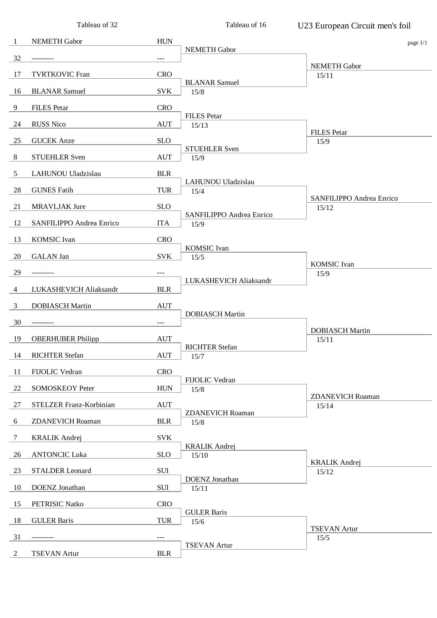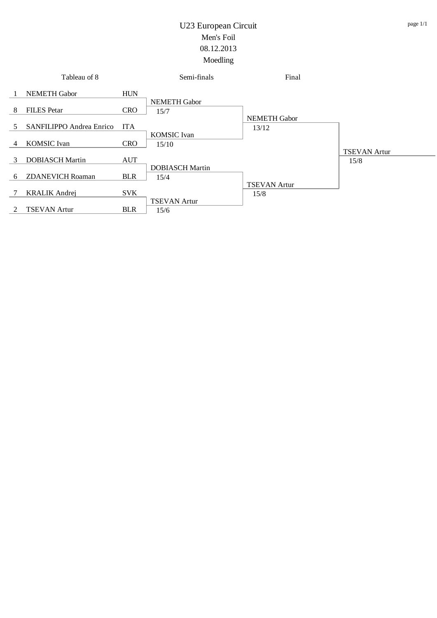|             | Tableau of 8             |            | Semi-finals            | Final               |                     |
|-------------|--------------------------|------------|------------------------|---------------------|---------------------|
|             | <b>NEMETH Gabor</b>      | <b>HUN</b> | <b>NEMETH Gabor</b>    |                     |                     |
| -8          | <b>FILES</b> Petar       | <b>CRO</b> | 15/7                   |                     |                     |
|             |                          |            |                        | <b>NEMETH Gabor</b> |                     |
| 5.          | SANFILIPPO Andrea Enrico | <b>ITA</b> |                        | 13/12               |                     |
|             |                          |            | <b>KOMSIC</b> Ivan     |                     |                     |
| 4           | <b>KOMSIC</b> Ivan       | <b>CRO</b> | 15/10                  |                     |                     |
|             |                          |            |                        |                     | <b>TSEVAN Artur</b> |
| 3           | <b>DOBIASCH Martin</b>   | <b>AUT</b> | <b>DOBIASCH Martin</b> |                     | 15/8                |
| 6           | <b>ZDANEVICH Roaman</b>  | <b>BLR</b> | 15/4                   |                     |                     |
|             |                          |            |                        | <b>TSEVAN Artur</b> |                     |
|             | <b>KRALIK Andrej</b>     | <b>SVK</b> |                        | 15/8                |                     |
|             |                          |            | <b>TSEVAN Artur</b>    |                     |                     |
| $2^{\circ}$ | <b>TSEVAN Artur</b>      | <b>BLR</b> | 15/6                   |                     |                     |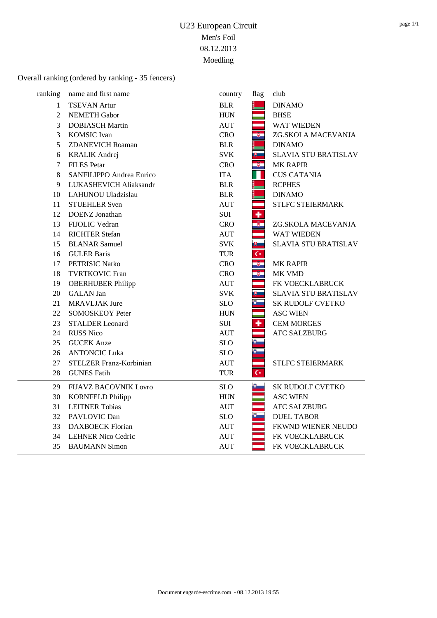#### Overall ranking (ordered by ranking - 35 fencers)

| ranking        | name and first name          | country    | flag               | club                        |
|----------------|------------------------------|------------|--------------------|-----------------------------|
| 1              | <b>TSEVAN Artur</b>          | <b>BLR</b> |                    | <b>DINAMO</b>               |
| $\overline{2}$ | <b>NEMETH Gabor</b>          | <b>HUN</b> |                    | <b>BHSE</b>                 |
| 3              | <b>DOBIASCH Martin</b>       | <b>AUT</b> |                    | <b>WAT WIEDEN</b>           |
| 3              | <b>KOMSIC</b> Ivan           | <b>CRO</b> |                    | ZG.SKOLA MACEVANJA          |
| 5              | <b>ZDANEVICH Roaman</b>      | <b>BLR</b> |                    | <b>DINAMO</b>               |
| 6              | <b>KRALIK Andrej</b>         | <b>SVK</b> |                    | <b>SLAVIA STU BRATISLAV</b> |
| 7              | <b>FILES</b> Petar           | <b>CRO</b> | $\frac{1}{2}$      | <b>MK RAPIR</b>             |
| 8              | SANFILIPPO Andrea Enrico     | <b>ITA</b> |                    | <b>CUS CATANIA</b>          |
| 9              | LUKASHEVICH Aliaksandr       | <b>BLR</b> |                    | <b>RCPHES</b>               |
| 10             | LAHUNOU Uladzislau           | <b>BLR</b> |                    | <b>DINAMO</b>               |
| 11             | <b>STUEHLER Sven</b>         | <b>AUT</b> |                    | STLFC STEIERMARK            |
| 12             | <b>DOENZ</b> Jonathan        | SUI        | ÷                  |                             |
| 13             | FIJOLIC Vedran               | <b>CRO</b> | $\bullet$          | ZG.SKOLA MACEVANJA          |
| 14             | <b>RICHTER Stefan</b>        | <b>AUT</b> |                    | <b>WAT WIEDEN</b>           |
| 15             | <b>BLANAR Samuel</b>         | <b>SVK</b> | 罗二                 | <b>SLAVIA STU BRATISLAV</b> |
| 16             | <b>GULER Baris</b>           | <b>TUR</b> | $\mathsf{C}^\star$ |                             |
| 17             | <b>PETRISIC Natko</b>        | <b>CRO</b> |                    | <b>MK RAPIR</b>             |
| 18             | <b>TVRTKOVIC Fran</b>        | <b>CRO</b> |                    | MK VMD                      |
| 19             | <b>OBERHUBER Philipp</b>     | <b>AUT</b> |                    | FK VOECKLABRUCK             |
| 20             | <b>GALAN</b> Jan             | <b>SVK</b> | U.                 | <b>SLAVIA STU BRATISLAV</b> |
| 21             | <b>MRAVLJAK Jure</b>         | <b>SLO</b> | $\bullet$          | SK RUDOLF CVETKO            |
| 22             | <b>SOMOSKEOY Peter</b>       | <b>HUN</b> |                    | <b>ASC WIEN</b>             |
| 23             | <b>STALDER Leonard</b>       | <b>SUI</b> | ٠                  | <b>CEM MORGES</b>           |
| 24             | <b>RUSS Nico</b>             | <b>AUT</b> |                    | <b>AFC SALZBURG</b>         |
| 25             | <b>GUCEK</b> Anze            | <b>SLO</b> |                    |                             |
| 26             | <b>ANTONCIC Luka</b>         | <b>SLO</b> |                    |                             |
| 27             | STELZER Franz-Korbinian      | <b>AUT</b> |                    | STLFC STEIERMARK            |
| 28             | <b>GUNES Fatih</b>           | <b>TUR</b> | $\overline{C}$     |                             |
| 29             | <b>FIJAVZ BACOVNIK Lovro</b> | <b>SLO</b> | $\ddot{\bullet}$   | SK RUDOLF CVETKO            |
| 30             | <b>KORNFELD Philipp</b>      | <b>HUN</b> |                    | <b>ASC WIEN</b>             |
| 31             | <b>LEITNER Tobias</b>        | <b>AUT</b> |                    | <b>AFC SALZBURG</b>         |
| 32             | PAVLOVIC Dan                 | <b>SLO</b> |                    | <b>DUEL TABOR</b>           |
| 33             | <b>DAXBOECK</b> Florian      | <b>AUT</b> |                    | FKWND WIENER NEUDO          |
| 34             | <b>LEHNER Nico Cedric</b>    | <b>AUT</b> |                    | FK VOECKLABRUCK             |
| 35             | <b>BAUMANN Simon</b>         | <b>AUT</b> |                    | FK VOECKLABRUCK             |
|                |                              |            |                    |                             |